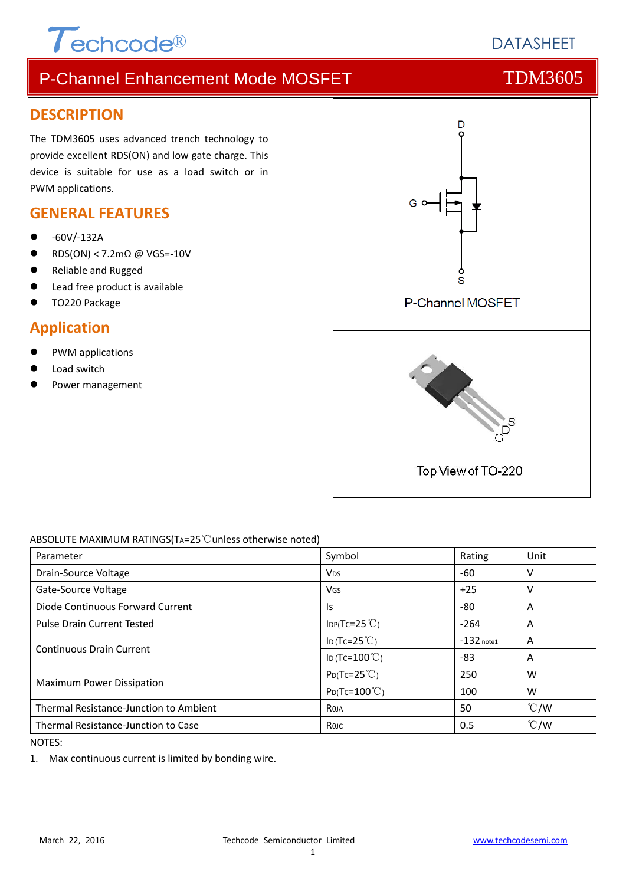

# **DATASHEFT**

# P-Channel Enhancement Mode MOSFET TOM3605

### **DESCRIPTION**

The TDM3605 uses advanced trench technology to provide excellent RDS(ON) and low gate charge. This device is suitable for use as a load switch or in PWM applications.

## **GENERAL FEATURES**

- ‐60V/‐132A
- RDS(ON) < 7.2mΩ @ VGS=‐10V
- Reliable and Rugged
- Lead free product is available
- TO220 Package

### **Application**

- PWM applications
- Load switch
- Power management



#### ABSOLUTE MAXIMUM RATINGS(TA=25℃unless otherwise noted)

| Parameter                              | Symbol                   | Rating       | Unit          |
|----------------------------------------|--------------------------|--------------|---------------|
| Drain-Source Voltage                   | <b>V</b> <sub>DS</sub>   | -60          | v             |
| Gate-Source Voltage                    | VGS                      | $+25$        | v             |
| Diode Continuous Forward Current       | ls.                      | $-80$        | A             |
| <b>Pulse Drain Current Tested</b>      | $IDP(Tc=25^{\circ}C)$    | $-264$       | A             |
| <b>Continuous Drain Current</b>        | ID (Tc=25 $°C$ )         | $-132$ note1 | A             |
|                                        | ID (Tc= $100^{\circ}$ C) | $-83$        | A             |
| Maximum Power Dissipation              | $P_{D}(Tc=25^{\circ}C)$  | 250          | W             |
|                                        | $P_{D}$ (Tc=100°C)       | 100          | W             |
| Thermal Resistance-Junction to Ambient | Reja                     | 50           | $\degree$ C/W |
| Thermal Resistance-Junction to Case    | Көлс                     | 0.5          | $\degree$ C/W |

NOTES:

1. Max continuous current is limited by bonding wire.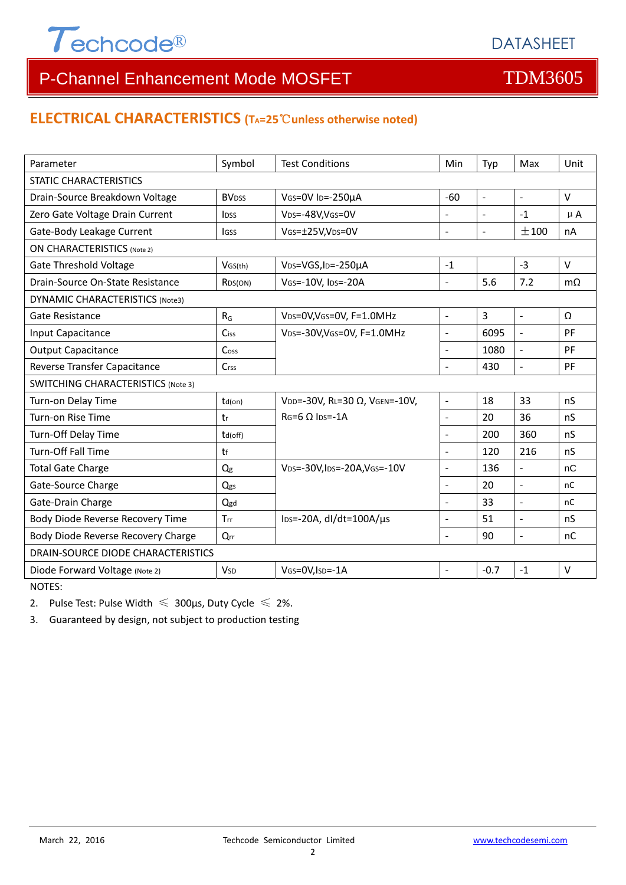

## **ELECTRICAL CHARACTERISTICS (TA=25**℃**unless otherwise noted)**

| Parameter                                 | Symbol                   | <b>Test Conditions</b>                       | Min            | Typ            | Max                      | Unit          |  |  |
|-------------------------------------------|--------------------------|----------------------------------------------|----------------|----------------|--------------------------|---------------|--|--|
| <b>STATIC CHARACTERISTICS</b>             |                          |                                              |                |                |                          |               |  |  |
| Drain-Source Breakdown Voltage            | <b>BV</b> <sub>DSS</sub> | VGS=0V ID=-250µA                             |                | $\blacksquare$ | $\overline{\phantom{a}}$ | $\vee$        |  |  |
| Zero Gate Voltage Drain Current           | <b>l</b> <sub>pss</sub>  | V <sub>DS</sub> =-48V,V <sub>GS</sub> =0V    |                |                | $-1$                     | $\mu$ A       |  |  |
| Gate-Body Leakage Current                 | <b>IGSS</b>              | VGS=±25V,VDS=0V                              | ÷,             | $\blacksquare$ | ±100                     | nA            |  |  |
| <b>ON CHARACTERISTICS (Note 2)</b>        |                          |                                              |                |                |                          |               |  |  |
| <b>Gate Threshold Voltage</b>             | VGS(th)                  | V <sub>DS</sub> =VGS, I <sub>D</sub> =-250µA | $-1$           |                | $-3$                     | $\vee$        |  |  |
| Drain-Source On-State Resistance          | R <sub>DS</sub> (ON)     | VGS=-10V, IDS=-20A                           | $\overline{a}$ | 5.6            | 7.2                      | $m\Omega$     |  |  |
| <b>DYNAMIC CHARACTERISTICS (Note3)</b>    |                          |                                              |                |                |                          |               |  |  |
| <b>Gate Resistance</b>                    | $R_G$                    | VDS=0V, VGS=0V, F=1.0MHz                     | $\overline{a}$ | 3              | $\sim$                   | Ω             |  |  |
| Input Capacitance                         | Ciss                     | VDS=-30V, VGS=0V, F=1.0MHz                   | $\overline{a}$ | 6095           | $\blacksquare$           | PF            |  |  |
| <b>Output Capacitance</b>                 | Cos <sub>S</sub>         |                                              | $\overline{a}$ | 1080           | $\blacksquare$           | PF            |  |  |
| Reverse Transfer Capacitance              | <b>Crss</b>              |                                              | $\overline{a}$ | 430            | $\blacksquare$           | PF            |  |  |
| <b>SWITCHING CHARACTERISTICS (Note 3)</b> |                          |                                              |                |                |                          |               |  |  |
| Turn-on Delay Time                        | $td($ on $)$             | VDD=-30V, RL=30 Ω, VGEN=-10V,                | $\overline{a}$ | 18             | 33                       | nS            |  |  |
| Turn-on Rise Time                         | tr                       | $RG=6$ $\Omega$ lps=-1A                      | $\overline{a}$ | 20             | 36                       | nS            |  |  |
| Turn-Off Delay Time                       | td(off)                  |                                              | $\blacksquare$ | 200            | 360                      | nS            |  |  |
| <b>Turn-Off Fall Time</b>                 | tf                       |                                              |                | 120            | 216                      | nS            |  |  |
| <b>Total Gate Charge</b>                  | Qg                       | VDS=-30V, IDS=-20A, VGS=-10V                 |                | 136            | $\overline{\phantom{a}}$ | nC            |  |  |
| Gate-Source Charge                        | Qgs                      |                                              |                | 20             | $\Box$                   | <sub>nC</sub> |  |  |
| Gate-Drain Charge                         | Qgd                      |                                              | $\overline{a}$ | 33             | $\overline{a}$           | nC            |  |  |
| Body Diode Reverse Recovery Time          | Trr                      | $\text{los} = -20$ A, dl/dt=100A/ $\mu$ s    | $\overline{a}$ | 51             | $\overline{a}$           | nS            |  |  |
| Body Diode Reverse Recovery Charge        | $Q_{rr}$                 |                                              | $\overline{a}$ | 90             | $\frac{1}{2}$            | nC            |  |  |
| DRAIN-SOURCE DIODE CHARACTERISTICS        |                          |                                              |                |                |                          |               |  |  |
| Diode Forward Voltage (Note 2)            | <b>V<sub>SD</sub></b>    | VGS=0V, ISD=-1A                              | $\overline{a}$ | $-0.7$         | $-1$                     | $\vee$        |  |  |

NOTES:

2. Pulse Test: Pulse Width  $\leq 300$ μs, Duty Cycle  $\leq 2\%$ .

3. Guaranteed by design, not subject to production testing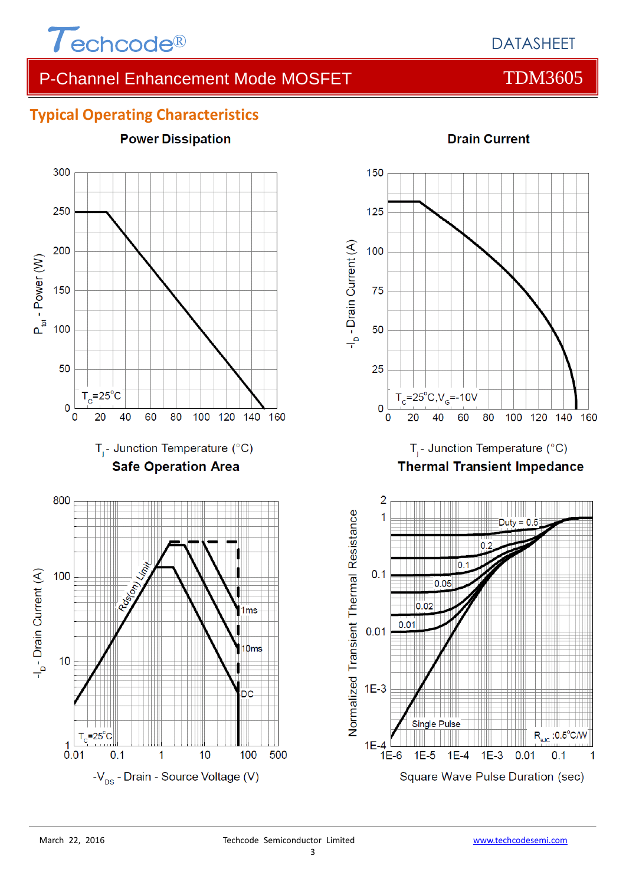

**Power Dissipation** 

## **Typical Operating Characteristics**



#### **Drain Current**

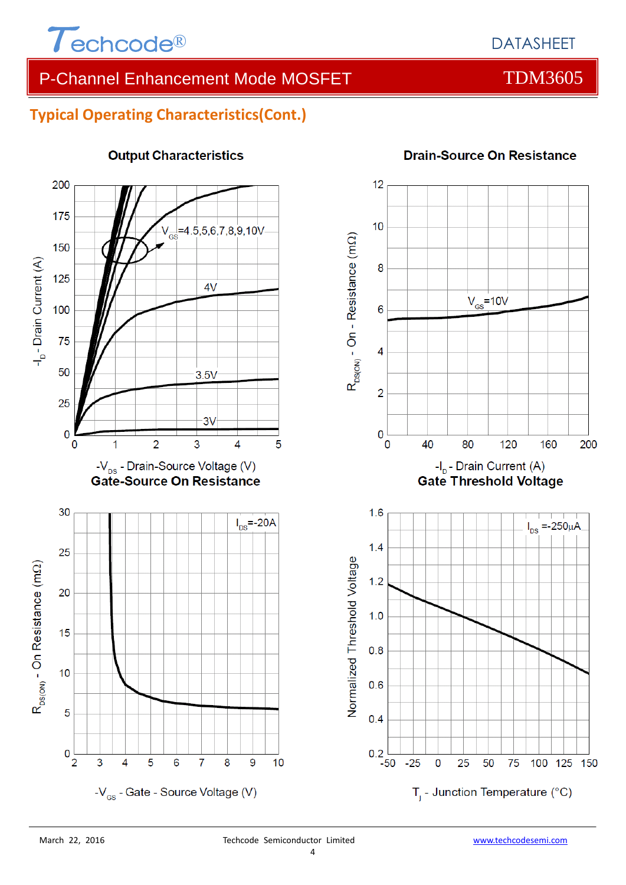

## **Typical Operating Characteristics(Cont.)**



## **Output Characteristics**

#### **Drain-Source On Resistance**

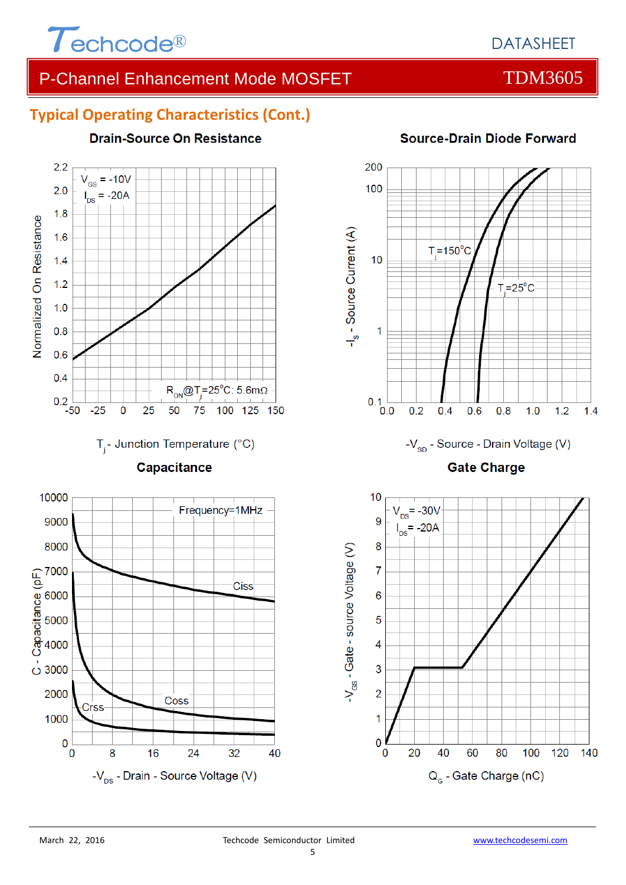

# **Typical Operating Characteristics (Cont.)**



### **Source-Drain Diode Forward**



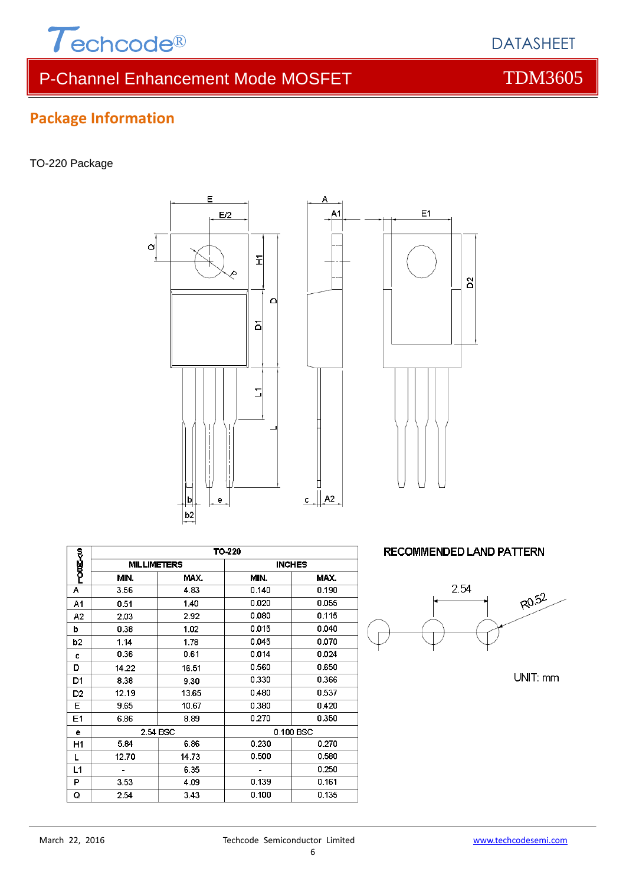

# **Package Information**

#### TO-220 Package





Δ

|                |                    |          | TO-220        |       |  |
|----------------|--------------------|----------|---------------|-------|--|
| <b>PODE-30</b> |                    |          |               |       |  |
|                | <b>MILLIMETERS</b> |          | <b>INCHES</b> |       |  |
|                | MIN.               | MAX.     | MIN.          | MAX.  |  |
| А              | 3.56               | 4.83     | 0.140         | 0.190 |  |
| A1             | 0.51               | 1.40     | 0.020         | 0.055 |  |
| A2             | 2.03               | 2.92     | 0.080         | 0.115 |  |
| b              | 0.38               | 1.02     | 0.015         | 0.040 |  |
| b <sub>2</sub> | 1.14               | 1.78     | 0.045         | 0.070 |  |
| C              | 0.36               | 0.61     | 0.014         | 0.024 |  |
| D              | 14.22              | 16.51    | 0.560         | 0.650 |  |
| D1             | 8.38               | 9.30     | 0.330         | 0.366 |  |
| D <sub>2</sub> | 12.19              | 13.65    | 0.480         | 0.537 |  |
| E              | 9.65               | 10.67    | 0.380         | 0.420 |  |
| E1             | 6.86               | 8.89     | 0.270         | 0.350 |  |
| е              |                    | 2.54 BSC | 0.100 BSC     |       |  |
| H1             | 5.84               | 6.86     | 0.230         | 0.270 |  |
| L              | 12.70              | 14.73    | 0.500         | 0.580 |  |
| L1             |                    | 6.35     |               | 0.250 |  |
| P              | 3.53               | 4.09     | 0.139         | 0.161 |  |
| Q              | 2.54               | 3.43     | 0.100         | 0.135 |  |

#### **RECOMMENDED LAND PATTERN**



UNIT: mm

DATASHEET